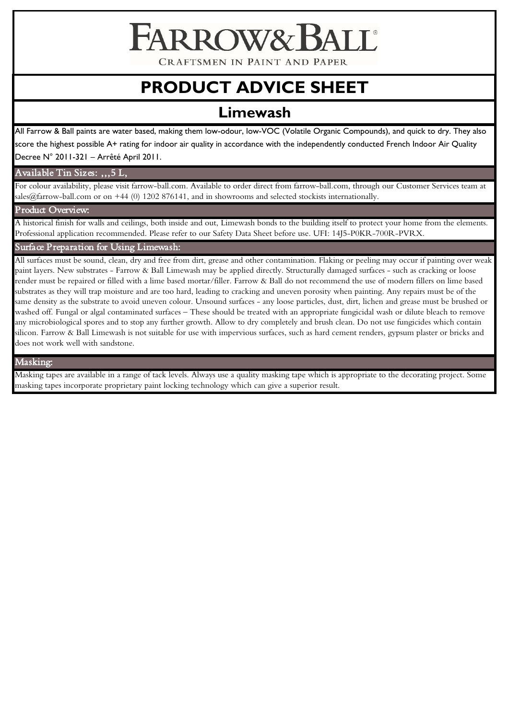ARROWA

CRAFTSMEN IN PAINT AND PAPER

# **PRODUCT ADVICE SHEET**

# **Limewash**

All Farrow & Ball paints are water based, making them low-odour, low-VOC (Volatile Organic Compounds), and quick to dry. They also score the highest possible A+ rating for indoor air quality in accordance with the independently conducted French Indoor Air Quality Decree N° 2011-321 – Arrêté April 2011.

# Available Tin Sizes: ,,,5 L,

For colour availability, please visit farrow-ball.com. Available to order direct from farrow-ball.com, through our Customer Services team at sales@farrow-ball.com or on +44 (0) 1202 876141, and in showrooms and selected stockists internationally.

# Product Overview:

A historical finish for walls and ceilings, both inside and out, Limewash bonds to the building itself to protect your home from the elements. Professional application recommended. Please refer to our Safety Data Sheet before use. UFI: 14J5-P0KR-700R-PVRX.

Surface Preparation for Using Limewash:

All surfaces must be sound, clean, dry and free from dirt, grease and other contamination. Flaking or peeling may occur if painting over weak paint layers. New substrates - Farrow & Ball Limewash may be applied directly. Structurally damaged surfaces - such as cracking or loose render must be repaired or filled with a lime based mortar/filler. Farrow & Ball do not recommend the use of modern fillers on lime based substrates as they will trap moisture and are too hard, leading to cracking and uneven porosity when painting. Any repairs must be of the same density as the substrate to avoid uneven colour. Unsound surfaces - any loose particles, dust, dirt, lichen and grease must be brushed or washed off. Fungal or algal contaminated surfaces – These should be treated with an appropriate fungicidal wash or dilute bleach to remove any microbiological spores and to stop any further growth. Allow to dry completely and brush clean. Do not use fungicides which contain silicon. Farrow & Ball Limewash is not suitable for use with impervious surfaces, such as hard cement renders, gypsum plaster or bricks and does not work well with sandstone.

# Masking:

Masking tapes are available in a range of tack levels. Always use a quality masking tape which is appropriate to the decorating project. Some masking tapes incorporate proprietary paint locking technology which can give a superior result.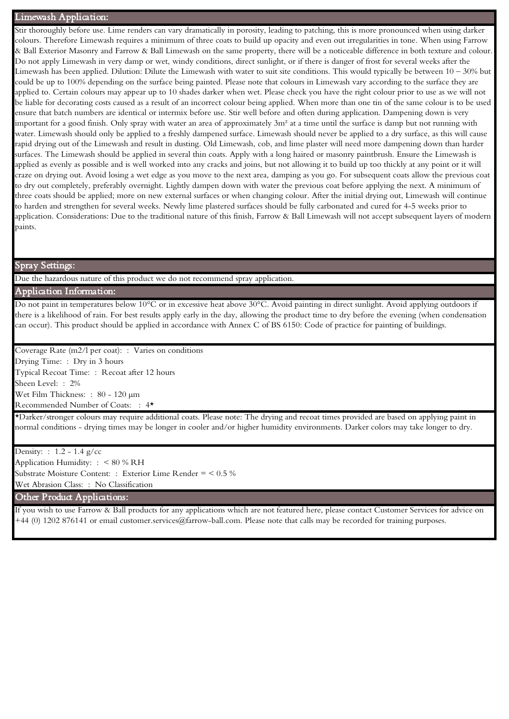# Limewash Application:

Stir thoroughly before use. Lime renders can vary dramatically in porosity, leading to patching, this is more pronounced when using darker colours. Therefore Limewash requires a minimum of three coats to build up opacity and even out irregularities in tone. When using Farrow & Ball Exterior Masonry and Farrow & Ball Limewash on the same property, there will be a noticeable difference in both texture and colour. Do not apply Limewash in very damp or wet, windy conditions, direct sunlight, or if there is danger of frost for several weeks after the Limewash has been applied. Dilution: Dilute the Limewash with water to suit site conditions. This would typically be between 10 – 30% but could be up to 100% depending on the surface being painted. Please note that colours in Limewash vary according to the surface they are applied to. Certain colours may appear up to 10 shades darker when wet. Please check you have the right colour prior to use as we will not be liable for decorating costs caused as a result of an incorrect colour being applied. When more than one tin of the same colour is to be used ensure that batch numbers are identical or intermix before use. Stir well before and often during application. Dampening down is very important for a good finish. Only spray with water an area of approximately 3m² at a time until the surface is damp but not running with water. Limewash should only be applied to a freshly dampened surface. Limewash should never be applied to a dry surface, as this will cause rapid drying out of the Limewash and result in dusting. Old Limewash, cob, and lime plaster will need more dampening down than harder surfaces. The Limewash should be applied in several thin coats. Apply with a long haired or masonry paintbrush. Ensure the Limewash is applied as evenly as possible and is well worked into any cracks and joins, but not allowing it to build up too thickly at any point or it will craze on drying out. Avoid losing a wet edge as you move to the next area, damping as you go. For subsequent coats allow the previous coat to dry out completely, preferably overnight. Lightly dampen down with water the previous coat before applying the next. A minimum of three coats should be applied; more on new external surfaces or when changing colour. After the initial drying out, Limewash will continue to harden and strengthen for several weeks. Newly lime plastered surfaces should be fully carbonated and cured for 4-5 weeks prior to application. Considerations: Due to the traditional nature of this finish, Farrow & Ball Limewash will not accept subsequent layers of modern paints.

#### Spray Settings:

Due the hazardous nature of this product we do not recommend spray application.

# Application Information:

Do not paint in temperatures below 10°C or in excessive heat above 30°C. Avoid painting in direct sunlight. Avoid applying outdoors if there is a likelihood of rain. For best results apply early in the day, allowing the product time to dry before the evening (when condensation can occur). This product should be applied in accordance with Annex C of BS 6150: Code of practice for painting of buildings.

Coverage Rate (m2/l per coat): : Varies on conditions

 Drying Time: : Dry in 3 hours Typical Recoat Time: : Recoat after 12 hours Sheen Level: : 2% Wet Film Thickness: : 80 - 120 µm Recommended Number of Coats: : 4\*

\*Darker/stronger colours may require additional coats. Please note: The drying and recoat times provided are based on applying paint in normal conditions - drying times may be longer in cooler and/or higher humidity environments. Darker colors may take longer to dry.

 Density: : 1.2 - 1.4 g/cc Application Humidity: : < 80 % RH Substrate Moisture Content: : Exterior Lime Render = < 0.5 % Wet Abrasion Class: : No Classification

Other Product Applications:

If you wish to use Farrow & Ball products for any applications which are not featured here, please contact Customer Services for advice on +44 (0) 1202 876141 or email customer.services@farrow-ball.com. Please note that calls may be recorded for training purposes.